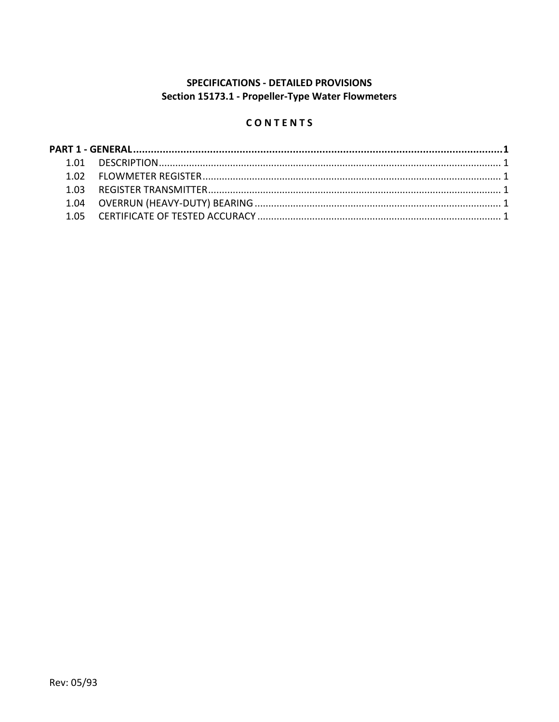## **SPECIFICATIONS - DETAILED PROVISIONS** Section 15173.1 - Propeller-Type Water Flowmeters

# CONTENTS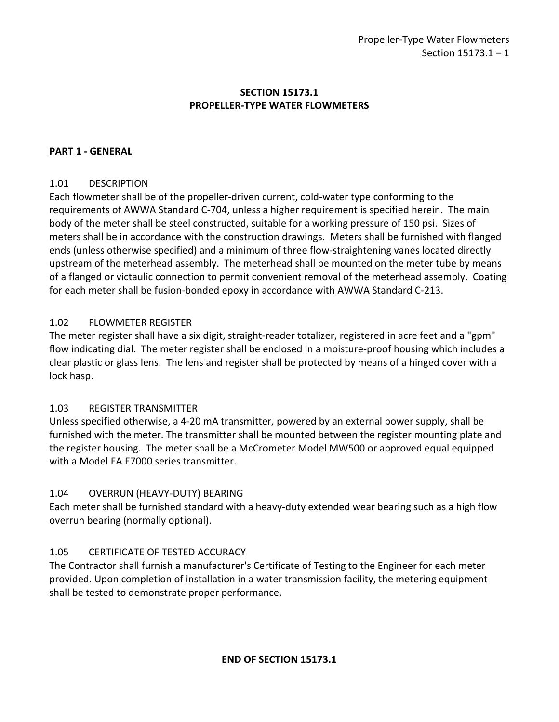#### **SECTION 15173.1 PROPELLER-TYPE WATER FLOWMETERS**

### <span id="page-2-0"></span>**PART 1 - GENERAL**

#### <span id="page-2-1"></span>1.01 DESCRIPTION

Each flowmeter shall be of the propeller-driven current, cold-water type conforming to the requirements of AWWA Standard C-704, unless a higher requirement is specified herein. The main body of the meter shall be steel constructed, suitable for a working pressure of 150 psi. Sizes of meters shall be in accordance with the construction drawings. Meters shall be furnished with flanged ends (unless otherwise specified) and a minimum of three flow-straightening vanes located directly upstream of the meterhead assembly. The meterhead shall be mounted on the meter tube by means of a flanged or victaulic connection to permit convenient removal of the meterhead assembly. Coating for each meter shall be fusion-bonded epoxy in accordance with AWWA Standard C-213.

#### <span id="page-2-2"></span>1.02 FLOWMETER REGISTER

The meter register shall have a six digit, straight-reader totalizer, registered in acre feet and a "gpm" flow indicating dial. The meter register shall be enclosed in a moisture-proof housing which includes a clear plastic or glass lens. The lens and register shall be protected by means of a hinged cover with a lock hasp.

#### <span id="page-2-3"></span>1.03 REGISTER TRANSMITTER

Unless specified otherwise, a 4-20 mA transmitter, powered by an external power supply, shall be furnished with the meter. The transmitter shall be mounted between the register mounting plate and the register housing. The meter shall be a McCrometer Model MW500 or approved equal equipped with a Model EA E7000 series transmitter.

#### <span id="page-2-4"></span>1.04 OVERRUN (HEAVY-DUTY) BEARING

Each meter shall be furnished standard with a heavy-duty extended wear bearing such as a high flow overrun bearing (normally optional).

#### <span id="page-2-5"></span>1.05 CERTIFICATE OF TESTED ACCURACY

The Contractor shall furnish a manufacturer's Certificate of Testing to the Engineer for each meter provided. Upon completion of installation in a water transmission facility, the metering equipment shall be tested to demonstrate proper performance.